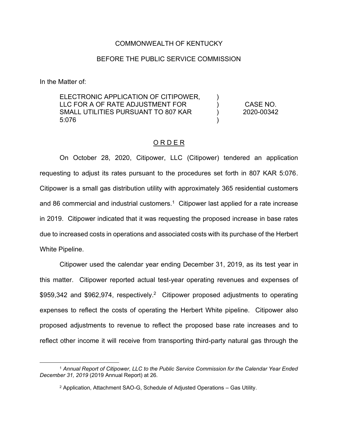### COMMONWEALTH OF KENTUCKY

#### BEFORE THE PUBLIC SERVICE COMMISSION

In the Matter of:

ELECTRONIC APPLICATION OF CITIPOWER, LLC FOR A OF RATE ADJUSTMENT FOR SMALL UTILITIES PURSUANT TO 807 KAR 5:076  $\lambda$  $\lambda$ ) ) CASE NO. 2020-00342

## O R D E R

On October 28, 2020, Citipower, LLC (Citipower) tendered an application requesting to adjust its rates pursuant to the procedures set forth in 807 KAR 5:076. Citipower is a small gas distribution utility with approximately 365 residential customers and 86 commercial and industrial customers.<sup>1</sup> Citipower last applied for a rate increase in 2019. Citipower indicated that it was requesting the proposed increase in base rates due to increased costs in operations and associated costs with its purchase of the Herbert White Pipeline.

Citipower used the calendar year ending December 31, 2019, as its test year in this matter. Citipower reported actual test-year operating revenues and expenses of \$959,342 and \$962,974, respectively.<sup>2</sup> Citipower proposed adjustments to operating expenses to reflect the costs of operating the Herbert White pipeline. Citipower also proposed adjustments to revenue to reflect the proposed base rate increases and to reflect other income it will receive from transporting third-party natural gas through the

<sup>1</sup> *Annual Report of Citipower, LLC to the Public Service Commission for the Calendar Year Ended December 31, 2019* (2019 Annual Report) at 26.

<sup>2</sup> Application, Attachment SAO-G, Schedule of Adjusted Operations – Gas Utility.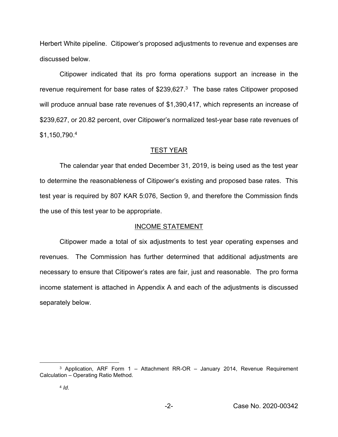Herbert White pipeline. Citipower's proposed adjustments to revenue and expenses are discussed below.

Citipower indicated that its pro forma operations support an increase in the revenue requirement for base rates of \$239,627. $3$  The base rates Citipower proposed will produce annual base rate revenues of \$1,390,417, which represents an increase of \$239,627, or 20.82 percent, over Citipower's normalized test-year base rate revenues of \$1,150,790. 4

#### TEST YEAR

The calendar year that ended December 31, 2019, is being used as the test year to determine the reasonableness of Citipower's existing and proposed base rates. This test year is required by 807 KAR 5:076, Section 9, and therefore the Commission finds the use of this test year to be appropriate.

#### INCOME STATEMENT

Citipower made a total of six adjustments to test year operating expenses and revenues. The Commission has further determined that additional adjustments are necessary to ensure that Citipower's rates are fair, just and reasonable. The pro forma income statement is attached in Appendix A and each of the adjustments is discussed separately below.

<sup>&</sup>lt;sup>3</sup> Application, ARF Form 1 – Attachment RR-OR – January 2014, Revenue Requirement Calculation – Operating Ratio Method.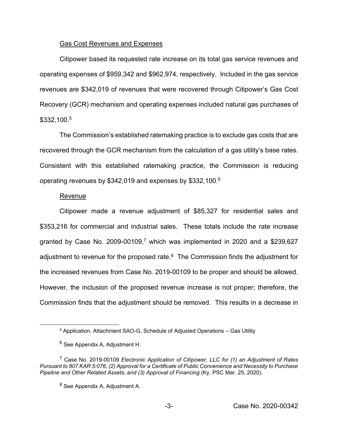#### Gas Cost Revenues and Expenses

Citipower based its requested rate increase on its total gas service revenues and operating expenses of \$959,342 and \$962,974, respectively. Included in the gas service revenues are \$342,019 of revenues that were recovered through Citipower's Gas Cost Recovery (GCR) mechanism and operating expenses included natural gas purchases of \$332,100. 5

The Commission's established ratemaking practice is to exclude gas costs that are recovered through the GCR mechanism from the calculation of a gas utility's base rates. Consistent with this established ratemaking practice, the Commission is reducing operating revenues by \$342,019 and expenses by \$332,100.<sup>6</sup>

#### Revenue

Citipower made a revenue adjustment of \$85,327 for residential sales and \$353,216 for commercial and industrial sales. These totals include the rate increase granted by Case No. 2009-00109, <sup>7</sup> which was implemented in 2020 and a \$239,627 adjustment to revenue for the proposed rate. $8$  The Commission finds the adjustment for the increased revenues from Case No. 2019-00109 to be proper and should be allowed. However, the inclusion of the proposed revenue increase is not proper; therefore, the Commission finds that the adjustment should be removed. This results in a decrease in

<sup>5</sup> Application, Attachment SAO-G, Schedule of Adjusted Operations – Gas Utility

<sup>6</sup> See Appendix A, Adjustment H.

<sup>7</sup> Case No. 2019-00109 *Electronic Application of Citipower, LLC for (1) an Adjustment of Rates Pursuant to 807 KAR 5:076; (2) Approval for a Certificate of Public Convenience and Necessity to Purchase Pipeline and Other Related Assets*; a*nd (3) Approval of Financing* (Ky. PSC Mar. 25, 2020).

<sup>8</sup> See Appendix A, Adjustment A.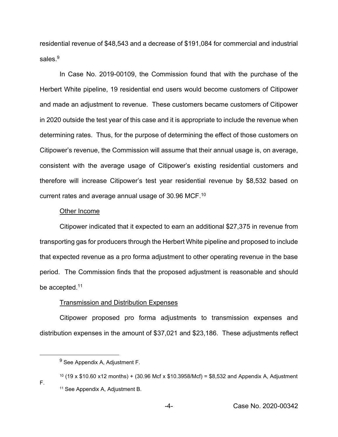residential revenue of \$48,543 and a decrease of \$191,084 for commercial and industrial sales.<sup>9</sup>

In Case No. 2019-00109, the Commission found that with the purchase of the Herbert White pipeline, 19 residential end users would become customers of Citipower and made an adjustment to revenue. These customers became customers of Citipower in 2020 outside the test year of this case and it is appropriate to include the revenue when determining rates. Thus, for the purpose of determining the effect of those customers on Citipower's revenue, the Commission will assume that their annual usage is, on average, consistent with the average usage of Citipower's existing residential customers and therefore will increase Citipower's test year residential revenue by \$8,532 based on current rates and average annual usage of 30.96 MCF.10

#### Other Income

Citipower indicated that it expected to earn an additional \$27,375 in revenue from transporting gas for producers through the Herbert White pipeline and proposed to include that expected revenue as a pro forma adjustment to other operating revenue in the base period. The Commission finds that the proposed adjustment is reasonable and should be accepted.<sup>11</sup>

#### Transmission and Distribution Expenses

Citipower proposed pro forma adjustments to transmission expenses and distribution expenses in the amount of \$37,021 and \$23,186. These adjustments reflect

-4- Case No. 2020-00342

<sup>&</sup>lt;sup>9</sup> See Appendix A, Adjustment F.

<sup>&</sup>lt;sup>10</sup> (19 x \$10.60 x12 months) + (30.96 Mcf x \$10.3958/Mcf) = \$8,532 and Appendix A, Adjustment F. <sup>11</sup> See Appendix A, Adjustment B.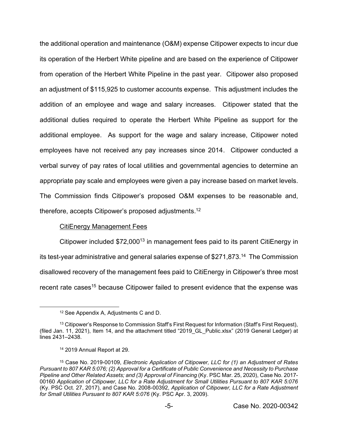the additional operation and maintenance (O&M) expense Citipower expects to incur due its operation of the Herbert White pipeline and are based on the experience of Citipower from operation of the Herbert White Pipeline in the past year. Citipower also proposed an adjustment of \$115,925 to customer accounts expense. This adjustment includes the addition of an employee and wage and salary increases. Citipower stated that the additional duties required to operate the Herbert White Pipeline as support for the additional employee. As support for the wage and salary increase, Citipower noted employees have not received any pay increases since 2014. Citipower conducted a verbal survey of pay rates of local utilities and governmental agencies to determine an appropriate pay scale and employees were given a pay increase based on market levels. The Commission finds Citipower's proposed O&M expenses to be reasonable and, therefore, accepts Citipower's proposed adjustments. 12

### CitiEnergy Management Fees

Citipower included  $$72,000^{13}$  in management fees paid to its parent CitiEnergy in its test-year administrative and general salaries expense of \$271,873. 14 The Commission disallowed recovery of the management fees paid to CitiEnergy in Citipower's three most recent rate cases<sup>15</sup> because Citipower failed to present evidence that the expense was

<sup>12</sup> See Appendix A, Adjustments C and D.

<sup>&</sup>lt;sup>13</sup> Citipower's Response to Commission Staff's First Request for Information (Staff's First Request), (filed Jan. 11, 2021), Item 14, and the attachment titled "2019\_GL\_Public.xlsx" (2019 General Ledger) at lines 2431–2438.

<sup>14</sup> 2019 Annual Report at 29.

<sup>15</sup> Case No. 2019-00109, *Electronic Application of Citipower, LLC for (1) an Adjustment of Rates Pursuant to 807 KAR 5:076; (2) Approval for a Certificate of Public Convenience and Necessity to Purchase Pipeline and Other Related Assets; and (3) Approval of Financing* (Ky. PSC Mar. 25, 2020), Case No. 2017- 00160 *Application of Citipower, LLC for a Rate Adjustment for Small Utilities Pursuant to 807 KAR 5:076* (Ky. PSC Oct. 27, 2017), and Case No. 2008-00392, *Application of Citipower, LLC for a Rate Adjustment for Small Utilities Pursuant to 807 KAR 5:076* (Ky. PSC Apr. 3, 2009).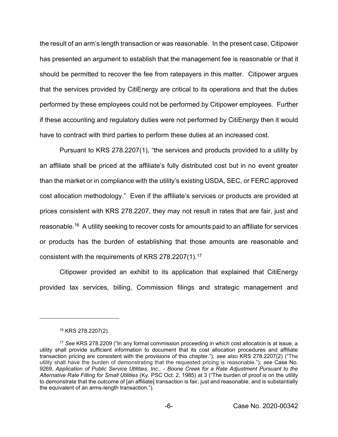the result of an arm's length transaction or was reasonable. In the present case, Citipower has presented an argument to establish that the management fee is reasonable or that it should be permitted to recover the fee from ratepayers in this matter. Citipower argues that the services provided by CitiEnergy are critical to its operations and that the duties performed by these employees could not be performed by Citipower employees. Further if these accounting and regulatory duties were not performed by CitiEnergy then it would have to contract with third parties to perform these duties at an increased cost.

Pursuant to KRS 278.2207(1), "the services and products provided to a utility by an affiliate shall be priced at the affiliate's fully distributed cost but in no event greater than the market or in compliance with the utility's existing USDA, SEC, or FERC approved cost allocation methodology." Even if the affiliate's services or products are provided at prices consistent with KRS 278.2207, they may not result in rates that are fair, just and reasonable.16 A utility seeking to recover costs for amounts paid to an affiliate for services or products has the burden of establishing that those amounts are reasonable and consistent with the requirements of KRS 278.2207(1).17

Citipower provided an exhibit to its application that explained that CitiEnergy provided tax services, billing, Commission filings and strategic management and

<sup>16</sup> KRS 278.2207(2).

<sup>17</sup> *See* KRS 278.2209 ("In any formal commission proceeding in which cost allocation is at issue, a utility shall provide sufficient information to document that its cost allocation procedures and affiliate transaction pricing are consistent with the provisions of this chapter."); *see also* KRS 278.2207(2) ("The utility shall have the burden of demonstrating that the requested pricing is reasonable."); *see* Case No. 9269, *Application of Public Service Utilities, Inc., - Boone Creek for a Rate Adjustment Pursuant to the Alternative Rate Filling for Small Utilities* (Ky. PSC Oct. 2, 1985) at 3 ("The burden of proof is on the utility to demonstrate that the outcome of [an affiliate] transaction is fair, just and reasonable, and is substantially the equivalent of an arms-length transaction.").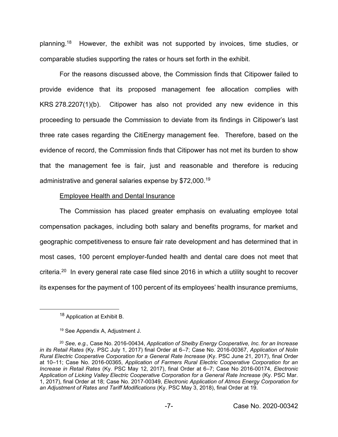planning.18 However, the exhibit was not supported by invoices, time studies, or comparable studies supporting the rates or hours set forth in the exhibit.

For the reasons discussed above, the Commission finds that Citipower failed to provide evidence that its proposed management fee allocation complies with KRS 278.2207(1)(b). Citipower has also not provided any new evidence in this proceeding to persuade the Commission to deviate from its findings in Citipower's last three rate cases regarding the CitiEnergy management fee. Therefore, based on the evidence of record, the Commission finds that Citipower has not met its burden to show that the management fee is fair, just and reasonable and therefore is reducing administrative and general salaries expense by \$72,000.19

### Employee Health and Dental Insurance

The Commission has placed greater emphasis on evaluating employee total compensation packages, including both salary and benefits programs, for market and geographic competitiveness to ensure fair rate development and has determined that in most cases, 100 percent employer-funded health and dental care does not meet that criteria.20 In every general rate case filed since 2016 in which a utility sought to recover its expenses for the payment of 100 percent of its employees' health insurance premiums,

<sup>&</sup>lt;sup>18</sup> Application at Exhibit B.

<sup>19</sup> See Appendix A, Adjustment J.

<sup>20</sup> *See, e.g.,* Case No. 2016-00434, *Application of Shelby Energy Cooperative, Inc. for an Increase in its Retail Rates* (Ky. PSC July 1, 2017) final Order at 6–7; Case No. 2016-00367, *Application of Nolin Rural Electric Cooperative Corporation for a General Rate Increase* (Ky. PSC June 21, 2017), final Order at 10–11; Case No. 2016-00365, *Application of Farmers Rural Electric Cooperative Corporation for an Increase in Retail Rates* (Ky. PSC May 12, 2017), final Order at 6–7; Case No 2016-00174, *Electronic Application of Licking Valley Electric Cooperative Corporation for a General Rate Increase* (Ky. PSC Mar. 1, 2017), final Order at 18; Case No. 2017-00349, *Electronic Application of Atmos Energy Corporation for an Adjustment of Rates and Tariff Modifications* (Ky. PSC May 3, 2018), final Order at 19.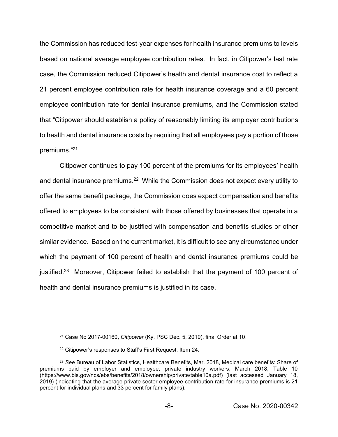the Commission has reduced test-year expenses for health insurance premiums to levels based on national average employee contribution rates. In fact, in Citipower's last rate case, the Commission reduced Citipower's health and dental insurance cost to reflect a 21 percent employee contribution rate for health insurance coverage and a 60 percent employee contribution rate for dental insurance premiums, and the Commission stated that "Citipower should establish a policy of reasonably limiting its employer contributions to health and dental insurance costs by requiring that all employees pay a portion of those premiums." 21

Citipower continues to pay 100 percent of the premiums for its employees' health and dental insurance premiums.<sup>22</sup> While the Commission does not expect every utility to offer the same benefit package, the Commission does expect compensation and benefits offered to employees to be consistent with those offered by businesses that operate in a competitive market and to be justified with compensation and benefits studies or other similar evidence. Based on the current market, it is difficult to see any circumstance under which the payment of 100 percent of health and dental insurance premiums could be justified.23 Moreover, Citipower failed to establish that the payment of 100 percent of health and dental insurance premiums is justified in its case.

<sup>21</sup> Case No 2017-00160, *Citipower* (Ky. PSC Dec. 5, 2019), final Order at 10.

<sup>22</sup> Citipower's responses to Staff's First Request, Item 24.

<sup>23</sup> *See* Bureau of Labor Statistics, Healthcare Benefits, Mar. 2018, Medical care benefits: Share of premiums paid by employer and employee, private industry workers, March 2018, Table 10 (https://www.bls.gov/ncs/ebs/benefits/2018/ownership/private/table10a.pdf) (last accessed January 18, 2019) (indicating that the average private sector employee contribution rate for insurance premiums is 21 percent for individual plans and 33 percent for family plans).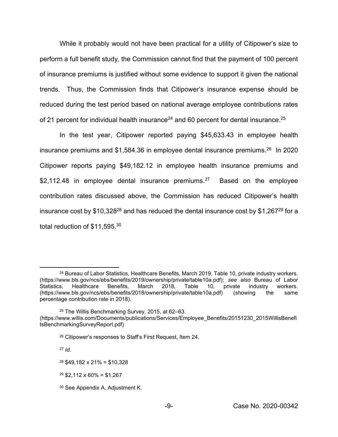While it probably would not have been practical for a utility of Citipower's size to perform a full benefit study, the Commission cannot find that the payment of 100 percent of insurance premiums is justified without some evidence to support it given the national trends. Thus, the Commission finds that Citipower's insurance expense should be reduced during the test period based on national average employee contributions rates of 21 percent for individual health insurance<sup>24</sup> and 60 percent for dental insurance.<sup>25</sup>

In the test year, Citipower reported paying \$45,633.43 in employee health insurance premiums and  $$1,584.36$  in employee dental insurance premiums.<sup>26</sup> In 2020 Citipower reports paying \$49,182.12 in employee health insurance premiums and \$2,112.48 in employee dental insurance premiums.<sup>27</sup> Based on the employee contribution rates discussed above, the Commission has reduced Citipower's health insurance cost by \$10,328<sup>28</sup> and has reduced the dental insurance cost by \$1,267<sup>29</sup> for a total reduction of \$11,595.<sup>30</sup>

 $29$  \$2,112 x 60% = \$1,267

<sup>&</sup>lt;sup>24</sup> Bureau of Labor Statistics, Healthcare Benefits, March 2019, Table 10, private industry workers. (https://www.bls.gov/ncs/ebs/benefits/2019/ownership/private/table10a.pdf); *see also* Bureau of Labor Statistics, Healthcare Benefits, March 2018, Table 10, private industry workers. (https://www.bls.gov/ncs/ebs/benefits/2018/ownership/private/table10a.pdf) (showing the same percentage contribution rate in 2018).

<sup>25</sup> The Willis Benchmarking Survey, 2015, at 62–63.

<sup>(</sup>https://www.willis.com/Documents/publications/Services/Employee\_Benefits/20151230\_2015WillisBenefi tsBenchmarkingSurveyReport.pdf)

<sup>26</sup> Citipower's responses to Staff's First Request, Item 24.

<sup>27</sup> *Id*.

 $28$  \$49,182 x 21% = \$10,328

<sup>30</sup> See Appendix A, Adjustment K.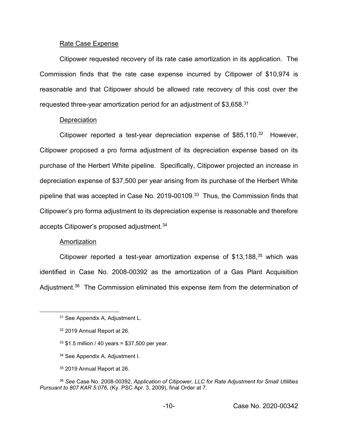#### Rate Case Expense

Citipower requested recovery of its rate case amortization in its application. The Commission finds that the rate case expense incurred by Citipower of \$10,974 is reasonable and that Citipower should be allowed rate recovery of this cost over the requested three-year amortization period for an adjustment of \$3,658.<sup>31</sup>

#### **Depreciation**

Citipower reported a test-year depreciation expense of  $$85,110.<sup>32</sup>$  However, Citipower proposed a pro forma adjustment of its depreciation expense based on its purchase of the Herbert White pipeline. Specifically, Citipower projected an increase in depreciation expense of \$37,500 per year arising from its purchase of the Herbert White pipeline that was accepted in Case No. 2019-00109. 33 Thus, the Commission finds that Citipower's pro forma adjustment to its depreciation expense is reasonable and therefore accepts Citipower's proposed adjustment.<sup>34</sup>

### Amortization

Citipower reported a test-year amortization expense of \$13,188, $35$  which was identified in Case No. 2008-00392 as the amortization of a Gas Plant Acquisition Adjustment.<sup>36</sup> The Commission eliminated this expense item from the determination of

- $33$  \$1.5 million / 40 years = \$37,500 per year.
- <sup>34</sup> See Appendix A, Adjustment I.
- <sup>35</sup> 2019 Annual Report at 26.

<sup>31</sup> See Appendix A, Adjustment L.

<sup>32</sup> 2019 Annual Report at 26.

<sup>36</sup> *See* Case No. 2008-00392, *Application of Citipower, LLC for Rate Adjustment for Small Utilities Pursuant to 807 KAR 5:076*, (Ky. PSC Apr. 3, 2009), final Order at 7.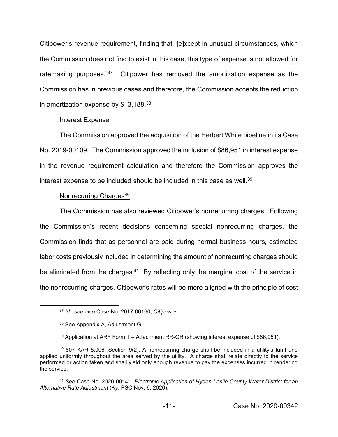Citipower's revenue requirement, finding that "[e]xcept in unusual circumstances, which the Commission does not find to exist in this case, this type of expense is not allowed for ratemaking purposes."<sup>37</sup> Citipower has removed the amortization expense as the Commission has in previous cases and therefore, the Commission accepts the reduction in amortization expense by \$13,188.38

### Interest Expense

The Commission approved the acquisition of the Herbert White pipeline in its Case No. 2019-00109. The Commission approved the inclusion of \$86,951 in interest expense in the revenue requirement calculation and therefore the Commission approves the interest expense to be included should be included in this case as well.<sup>39</sup>

### Nonrecurring Charges<sup>40</sup>

The Commission has also reviewed Citipower's nonrecurring charges. Following the Commission's recent decisions concerning special nonrecurring charges, the Commission finds that as personnel are paid during normal business hours, estimated labor costs previously included in determining the amount of nonrecurring charges should be eliminated from the charges.<sup>41</sup> By reflecting only the marginal cost of the service in the nonrecurring charges, Citipower's rates will be more aligned with the principle of cost

<sup>37</sup> *Id.*, *see also* Case No. 2017-00160, *Citipower.*

<sup>38</sup> See Appendix A, Adjustment G.

<sup>39</sup> Application at ARF Form 1 – Attachment RR-OR (showing interest expense of \$86,951).

<sup>40</sup> 807 KAR 5:006, Section 9(2). A nonrecurring charge shall be included in a utility's tariff and applied uniformly throughout the area served by the utility. A charge shall relate directly to the service performed or action taken and shall yield only enough revenue to pay the expenses incurred in rendering the service.

<sup>41</sup> *See* Case No. 2020-00141, *Electronic Application of Hyden-Leslie County Water District for an Alternative Rate Adjustment* (Ky. PSC Nov. 6, 2020).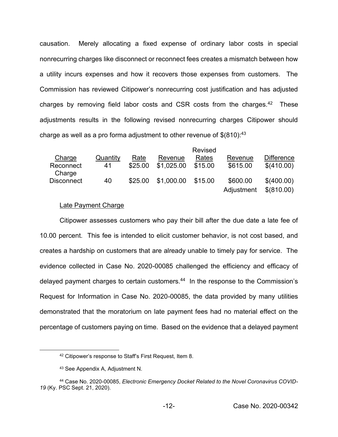causation. Merely allocating a fixed expense of ordinary labor costs in special nonrecurring charges like disconnect or reconnect fees creates a mismatch between how a utility incurs expenses and how it recovers those expenses from customers. The Commission has reviewed Citipower's nonrecurring cost justification and has adjusted charges by removing field labor costs and CSR costs from the charges. $42$  These adjustments results in the following revised nonrecurring charges Citipower should charge as well as a pro forma adjustment to other revenue of  $$(810).^{43}$ 

|                     |          |         |            | Revised |            |                   |
|---------------------|----------|---------|------------|---------|------------|-------------------|
| Charge              | Quantity | Rate    | Revenue    | Rates   | Revenue    | <b>Difference</b> |
| Reconnect<br>Charge | 41       | \$25.00 | \$1,025.00 | \$15.00 | \$615.00   | \$(410.00)        |
| <b>Disconnect</b>   | 40       | \$25.00 | \$1,000.00 | \$15.00 | \$600.00   | \$(400.00)        |
|                     |          |         |            |         | Adjustment | \$(810.00)        |

### Late Payment Charge

Citipower assesses customers who pay their bill after the due date a late fee of 10.00 percent. This fee is intended to elicit customer behavior, is not cost based, and creates a hardship on customers that are already unable to timely pay for service. The evidence collected in Case No. 2020-00085 challenged the efficiency and efficacy of delayed payment charges to certain customers.<sup>44</sup> In the response to the Commission's Request for Information in Case No. 2020-00085, the data provided by many utilities demonstrated that the moratorium on late payment fees had no material effect on the percentage of customers paying on time. Based on the evidence that a delayed payment

<sup>42</sup> Citipower's response to Staff's First Request, Item 8.

<sup>43</sup> See Appendix A, Adjustment N.

<sup>44</sup> Case No. 2020-00085, *Electronic Emergency Docket Related to the Novel Coronavirus COVID-19* (Ky. PSC Sept. 21, 2020).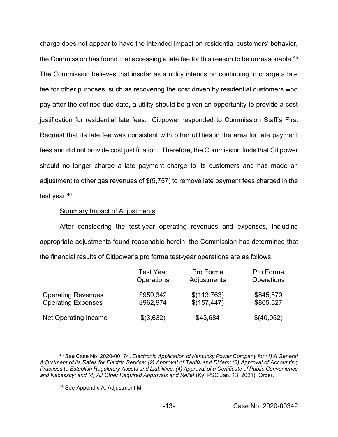charge does not appear to have the intended impact on residential customers' behavior, the Commission has found that accessing a late fee for this reason to be unreasonable.<sup>45</sup> The Commission believes that insofar as a utility intends on continuing to charge a late fee for other purposes, such as recovering the cost driven by residential customers who pay after the defined due date, a utility should be given an opportunity to provide a cost justification for residential late fees. Citipower responded to Commission Staff's First Request that its late fee was consistent with other utilities in the area for late payment fees and did not provide cost justification. Therefore, the Commission finds that Citipower should no longer charge a late payment charge to its customers and has made an adjustment to other gas revenues of \$(5,757) to remove late payment fees charged in the test year. 46

## Summary Impact of Adjustments

After considering the test-year operating revenues and expenses, including appropriate adjustments found reasonable herein, the Commission has determined that the financial results of Citipower's pro forma test-year operations are as follows:

|                           | <b>Test Year</b>  | Pro Forma   | Pro Forma         |
|---------------------------|-------------------|-------------|-------------------|
|                           | <b>Operations</b> | Adjustments | <b>Operations</b> |
| <b>Operating Revenues</b> | \$959,342         | \$(113,763) | \$845,579         |
| <b>Operating Expenses</b> | \$962,974         | \$(157,447) | \$805,527         |
| Net Operating Income      | \$(3,632)         | \$43,684    | \$(40,052)        |

<sup>45</sup> *See* Case No. 2020-00174, *Electronic Application of Kentucky Power Company for (1) A General Adjustment of its Rates for Electric Service; (2) Approval of Tariffs and Riders; (3) Approval of Accounting Practices to Establish Regulatory Assets and Liabilities; (4) Approval of a Certificate of Public Convenience and Necessity; and (4) All Other Required Approvals and Relief* (Ky. PSC Jan. 13, 2021), Order.

<sup>46</sup> See Appendix A, Adjustment M.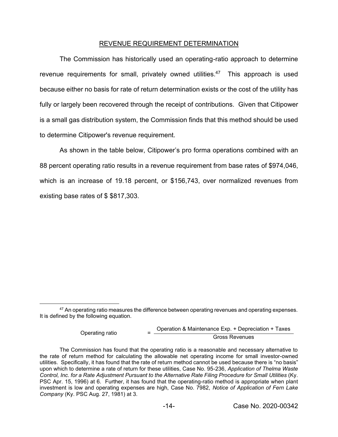## REVENUE REQUIREMENT DETERMINATION

The Commission has historically used an operating-ratio approach to determine revenue requirements for small, privately owned utilities.<sup>47</sup> This approach is used because either no basis for rate of return determination exists or the cost of the utility has fully or largely been recovered through the receipt of contributions. Given that Citipower is a small gas distribution system, the Commission finds that this method should be used to determine Citipower's revenue requirement.

As shown in the table below, Citipower's pro forma operations combined with an 88 percent operating ratio results in a revenue requirement from base rates of \$974,046, which is an increase of 19.18 percent, or \$156,743, over normalized revenues from existing base rates of \$ \$817,303.

Operating ratio <sup>=</sup> Operation & Maintenance Exp. + Depreciation + Taxes Gross Revenues

<sup>&</sup>lt;sup>47</sup> An operating ratio measures the difference between operating revenues and operating expenses. It is defined by the following equation.

The Commission has found that the operating ratio is a reasonable and necessary alternative to the rate of return method for calculating the allowable net operating income for small investor-owned utilities. Specifically, it has found that the rate of return method cannot be used because there is "no basis" upon which to determine a rate of return for these utilities, Case No. 95-236, *Application of Thelma Waste Control, Inc. for a Rate Adjustment Pursuant to the Alternative Rate Filing Procedure for Small Utilities* (Ky. PSC Apr. 15, 1996) at 6. Further, it has found that the operating-ratio method is appropriate when plant investment is low and operating expenses are high, Case No. 7982, *Notice of Application of Fern Lake Company* (Ky. PSC Aug. 27, 1981) at 3.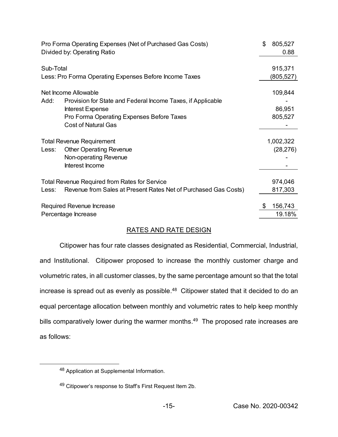| Pro Forma Operating Expenses (Net of Purchased Gas Costs)<br>Divided by: Operating Ratio                                                                                                   | \$<br>805,527<br>0.88        |
|--------------------------------------------------------------------------------------------------------------------------------------------------------------------------------------------|------------------------------|
| Sub-Total<br>Less: Pro Forma Operating Expenses Before Income Taxes                                                                                                                        | 915,371<br>(805, 527)        |
| Net Income Allowable<br>Add:<br>Provision for State and Federal Income Taxes, if Applicable<br>Interest Expense<br>Pro Forma Operating Expenses Before Taxes<br><b>Cost of Natural Gas</b> | 109,844<br>86,951<br>805,527 |
| <b>Total Revenue Requirement</b><br><b>Other Operating Revenue</b><br>Less:<br>Non-operating Revenue<br>Interest Income                                                                    | 1,002,322<br>(28, 276)       |
| Total Revenue Required from Rates for Service<br>Revenue from Sales at Present Rates Net of Purchased Gas Costs)<br>Less:                                                                  | 974,046<br>817,303           |
| Required Revenue Increase<br>Percentage Increase                                                                                                                                           | 156,743<br>\$<br>19.18%      |

# RATES AND RATE DESIGN

Citipower has four rate classes designated as Residential, Commercial, Industrial, and Institutional. Citipower proposed to increase the monthly customer charge and volumetric rates, in all customer classes, by the same percentage amount so that the total increase is spread out as evenly as possible. 48 Citipower stated that it decided to do an equal percentage allocation between monthly and volumetric rates to help keep monthly bills comparatively lower during the warmer months.<sup>49</sup> The proposed rate increases are as follows:

<sup>48</sup> Application at Supplemental Information.

<sup>49</sup> Citipower's response to Staff's First Request Item 2b.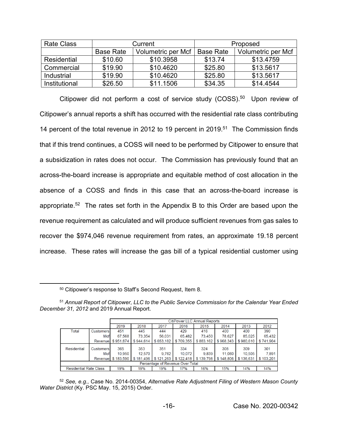| <b>Rate Class</b> |                  | Current            | Proposed         |                    |  |
|-------------------|------------------|--------------------|------------------|--------------------|--|
|                   | <b>Base Rate</b> | Volumetric per Mcf | <b>Base Rate</b> | Volumetric per Mcf |  |
| Residential       | \$10.60          | \$10.3958          | \$13.74          | \$13.4759          |  |
| Commercial        | \$19.90          | \$10.4620          | \$25.80          | \$13.5617          |  |
| Industrial        | \$19.90          | \$10.4620          | \$25.80          | \$13.5617          |  |
| Institutional     | \$26.50          | \$11.1506          | \$34.35          | \$14,4544          |  |

Citipower did not perform a cost of service study (COSS).<sup>50</sup> Upon review of Citipower's annual reports a shift has occurred with the residential rate class contributing 14 percent of the total revenue in 2012 to 19 percent in 2019. 51 The Commission finds that if this trend continues, a COSS will need to be performed by Citipower to ensure that a subsidization in rates does not occur. The Commission has previously found that an across-the-board increase is appropriate and equitable method of cost allocation in the absence of a COSS and finds in this case that an across-the-board increase is appropriate.<sup>52</sup> The rates set forth in the Appendix B to this Order are based upon the revenue requirement as calculated and will produce sufficient revenues from gas sales to recover the \$974,046 revenue requirement from rates, an approximate 19.18 percent increase. These rates will increase the gas bill of a typical residential customer using

<sup>50</sup> Citipower's response to Staff's Second Request, Item 8.

| <sup>51</sup> Annual Report of Citipower, LLC to the Public Service Commission for the Calendar Year Ended |  |  |  |
|------------------------------------------------------------------------------------------------------------|--|--|--|
| December 31, 2012 and 2019 Annual Report.                                                                  |  |  |  |

|                                  |                         | <b>CitiPower LLC Annual Reports</b> |               |              |               |              |               |               |              |  |
|----------------------------------|-------------------------|-------------------------------------|---------------|--------------|---------------|--------------|---------------|---------------|--------------|--|
|                                  |                         | 2019                                | 2018          | 2017         | 2016          | 2015         | 2014          | 2013          | 2012         |  |
| Total                            | <b>Customers</b>        | 451                                 | 445           | 444          | 429           | 416          | 400           | 400           | 390          |  |
|                                  | Mcf                     | 67,568                              | 73.354        | 56,031       | 65.482        | 73,450       | 78,627        | 85,025        | 65,432       |  |
|                                  | Revenue                 | \$951.874                           | \$944.614     | \$653.182    | \$709.355     | \$883,162    | \$968.343     | \$980,610     | \$741,904    |  |
| Residential                      | <b>Customers</b><br>Mcf | 365<br>10.950                       | 353<br>12.570 | 351<br>9.762 | 334<br>10.072 | 324<br>9.839 | 308<br>11.060 | 309<br>10.505 | 301<br>7,891 |  |
|                                  |                         | Revenue \$183,590                   | \$181.496     | \$121,263    | \$122.418     | \$139,798    | \$148,806     | \$136,631     | \$103.201    |  |
| Percentage of Revenue Over Total |                         |                                     |               |              |               |              |               |               |              |  |
| <b>Residential Rate Class</b>    |                         | 19%                                 | 19%           | 19%          | 17%           | 16%          | 15%           | 14%           | 14%          |  |

<sup>52</sup> *See, e.g.,* Case No. 2014-00354, *Alternative Rate Adjustment Filing of Western Mason County Water District* (Ky. PSC May. 15, 2015) Order.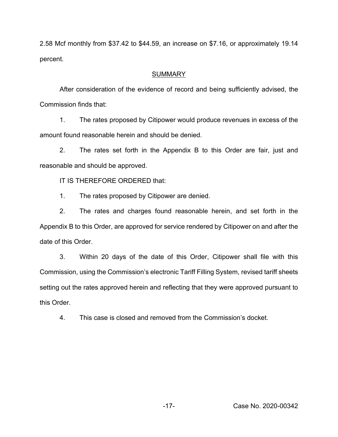2.58 Mcf monthly from \$37.42 to \$44.59, an increase on \$7.16, or approximately 19.14 percent.

# SUMMARY

After consideration of the evidence of record and being sufficiently advised, the Commission finds that:

1. The rates proposed by Citipower would produce revenues in excess of the amount found reasonable herein and should be denied.

2. The rates set forth in the Appendix B to this Order are fair, just and reasonable and should be approved.

IT IS THEREFORE ORDERED that:

1. The rates proposed by Citipower are denied.

2. The rates and charges found reasonable herein, and set forth in the Appendix B to this Order, are approved for service rendered by Citipower on and after the date of this Order.

3. Within 20 days of the date of this Order, Citipower shall file with this Commission, using the Commission's electronic Tariff Filling System, revised tariff sheets setting out the rates approved herein and reflecting that they were approved pursuant to this Order.

4. This case is closed and removed from the Commission's docket.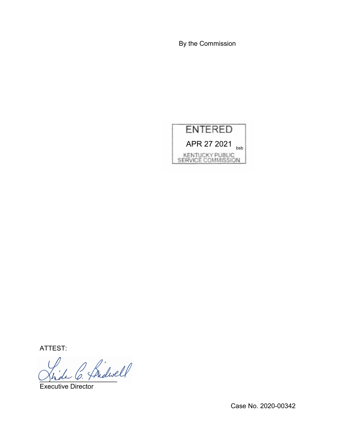By the Commission



ATTEST:

Jhde U. France

Executive Director

Case No. 2020-00342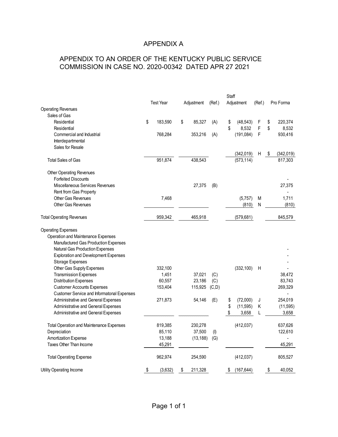# APPENDIX A

# APPENDIX TO AN ORDER OF THE KENTUCKY PUBLIC SERVICE COMMISSION IN CASE NO. 2020-00342 DATED APR 27 2021

|                                                   |                  |               |           | Staff |                         |        |                             |
|---------------------------------------------------|------------------|---------------|-----------|-------|-------------------------|--------|-----------------------------|
|                                                   | <b>Test Year</b> | Adjustment    | (Ref.)    |       | Adjustment              | (Ref.) | Pro Forma                   |
| <b>Operating Revenues</b>                         |                  |               |           |       |                         |        |                             |
| Sales of Gas                                      |                  |               |           |       |                         |        |                             |
| Residential                                       | \$<br>183,590    | \$<br>85,327  | (A)       | \$    | (48, 543)               | F      | \$<br>220,374               |
| Residential                                       |                  |               |           | \$    | 8,532                   | F      | \$<br>8,532                 |
| Commercial and Industrial                         | 768,284          | 353,216       | (A)       |       | (191, 084)              | F      | 930,416                     |
| Interdepartmental                                 |                  |               |           |       |                         |        |                             |
| Sales for Resale                                  |                  |               |           |       |                         |        |                             |
| <b>Total Sales of Gas</b>                         | 951,874          | 438,543       |           |       | (342,019)<br>(573, 114) | H      | \$<br>(342, 019)<br>817,303 |
|                                                   |                  |               |           |       |                         |        |                             |
| <b>Other Operating Revenues</b>                   |                  |               |           |       |                         |        |                             |
| <b>Forfeited Discounts</b>                        |                  |               |           |       |                         |        |                             |
| Miscellaneous Services Revenues                   |                  | 27,375        | (B)       |       |                         |        | 27,375                      |
| Rent from Gas Property                            |                  |               |           |       |                         |        |                             |
| Other Gas Revenues                                | 7,468            |               |           |       | (5,757)                 | M      | 1,711                       |
| <b>Other Gas Revenues</b>                         |                  |               |           |       | (810)                   | N      | (810)                       |
| <b>Total Operating Revenues</b>                   | 959,342          | 465,918       |           |       | (579, 681)              |        | 845,579                     |
| <b>Operating Expenses</b>                         |                  |               |           |       |                         |        |                             |
| Operation and Maintenance Expenses                |                  |               |           |       |                         |        |                             |
| Manufactured Gas Production Expenses              |                  |               |           |       |                         |        |                             |
| <b>Natural Gas Production Expenses</b>            |                  |               |           |       |                         |        |                             |
| <b>Exploration and Development Expenses</b>       |                  |               |           |       |                         |        |                             |
| Storage Expenses                                  |                  |               |           |       |                         |        |                             |
| Other Gas Supply Expenses                         | 332,100          |               |           |       | (332, 100)              | Н      |                             |
| <b>Transmission Expenses</b>                      | 1,451            | 37,021        | (C)       |       |                         |        | 38,472                      |
| <b>Distribution Expenses</b>                      | 60,557           | 23,186        | (C)       |       |                         |        | 83,743                      |
| <b>Customer Accounts Expenses</b>                 | 153,404          | 115,925       | (C,D)     |       |                         |        | 269,329                     |
| <b>Customer Service and Informatonal Expenses</b> |                  |               |           |       |                         |        |                             |
| Administrative and General Expenses               | 271,873          | 54,146        | (E)       | \$    | (72,000)                | J      | 254,019                     |
| Administrative and General Expenses               |                  |               |           | \$    | (11, 595)               | Κ      | (11, 595)                   |
| Administrative and General Expenses               |                  |               |           | \$    | 3,658                   | L      | 3,658                       |
| Total Operation and Maintenance Expenses          | 819,385          | 230,278       |           |       | (412, 037)              |        | 637,626                     |
| Depreciation                                      | 85,110           | 37,500        | $($ l $)$ |       |                         |        | 122,610                     |
| Amortization Expense                              | 13,188           | (13, 188)     | (G)       |       |                         |        |                             |
| Taxes Other Than Income                           | 45,291           |               |           |       |                         |        | 45,291                      |
| <b>Total Operating Expense</b>                    | 962,974          | 254,590       |           |       | (412, 037)              |        | 805,527                     |
|                                                   |                  |               |           |       |                         |        |                             |
| Utility Operating Income                          | \$<br>(3,632)    | \$<br>211,328 |           | \$    | (167, 644)              |        | \$<br>40,052                |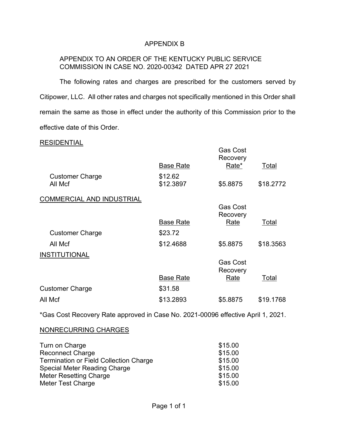## APPENDIX B

## APPENDIX TO AN ORDER OF THE KENTUCKY PUBLIC SERVICE COMMISSION IN CASE NO. 2020-00342 DATED APR 27 2021

The following rates and charges are prescribed for the customers served by Citipower, LLC. All other rates and charges not specifically mentioned in this Order shall remain the same as those in effect under the authority of this Commission prior to the effective date of this Order.

### RESIDENTIAL

|                                   | <b>Base Rate</b>     | <b>Gas Cost</b><br>Recovery<br>Rate* | Total     |
|-----------------------------------|----------------------|--------------------------------------|-----------|
| <b>Customer Charge</b><br>All Mcf | \$12.62<br>\$12.3897 | \$5.8875                             | \$18.2772 |
| <b>COMMERCIAL AND INDUSTRIAL</b>  |                      |                                      |           |
|                                   |                      | <b>Gas Cost</b><br>Recovery          |           |
|                                   | <b>Base Rate</b>     | Rate                                 | Total     |
| <b>Customer Charge</b>            | \$23.72              |                                      |           |
| All Mcf                           | \$12.4688            | \$5.8875                             | \$18.3563 |
| <b>INSTITUTIONAL</b>              |                      |                                      |           |
|                                   |                      | <b>Gas Cost</b><br>Recovery          |           |
|                                   | <b>Base Rate</b>     | Rate                                 | Total     |
| <b>Customer Charge</b>            | \$31.58              |                                      |           |
| All Mcf                           | \$13.2893            | \$5.8875                             | \$19.1768 |
|                                   |                      |                                      |           |

\*Gas Cost Recovery Rate approved in Case No. 2021-00096 effective April 1, 2021.

### NONRECURRING CHARGES

| Turn on Charge                                | \$15.00 |
|-----------------------------------------------|---------|
| <b>Reconnect Charge</b>                       | \$15.00 |
| <b>Termination or Field Collection Charge</b> | \$15.00 |
| <b>Special Meter Reading Charge</b>           | \$15.00 |
| <b>Meter Resetting Charge</b>                 | \$15.00 |
| Meter Test Charge                             | \$15.00 |